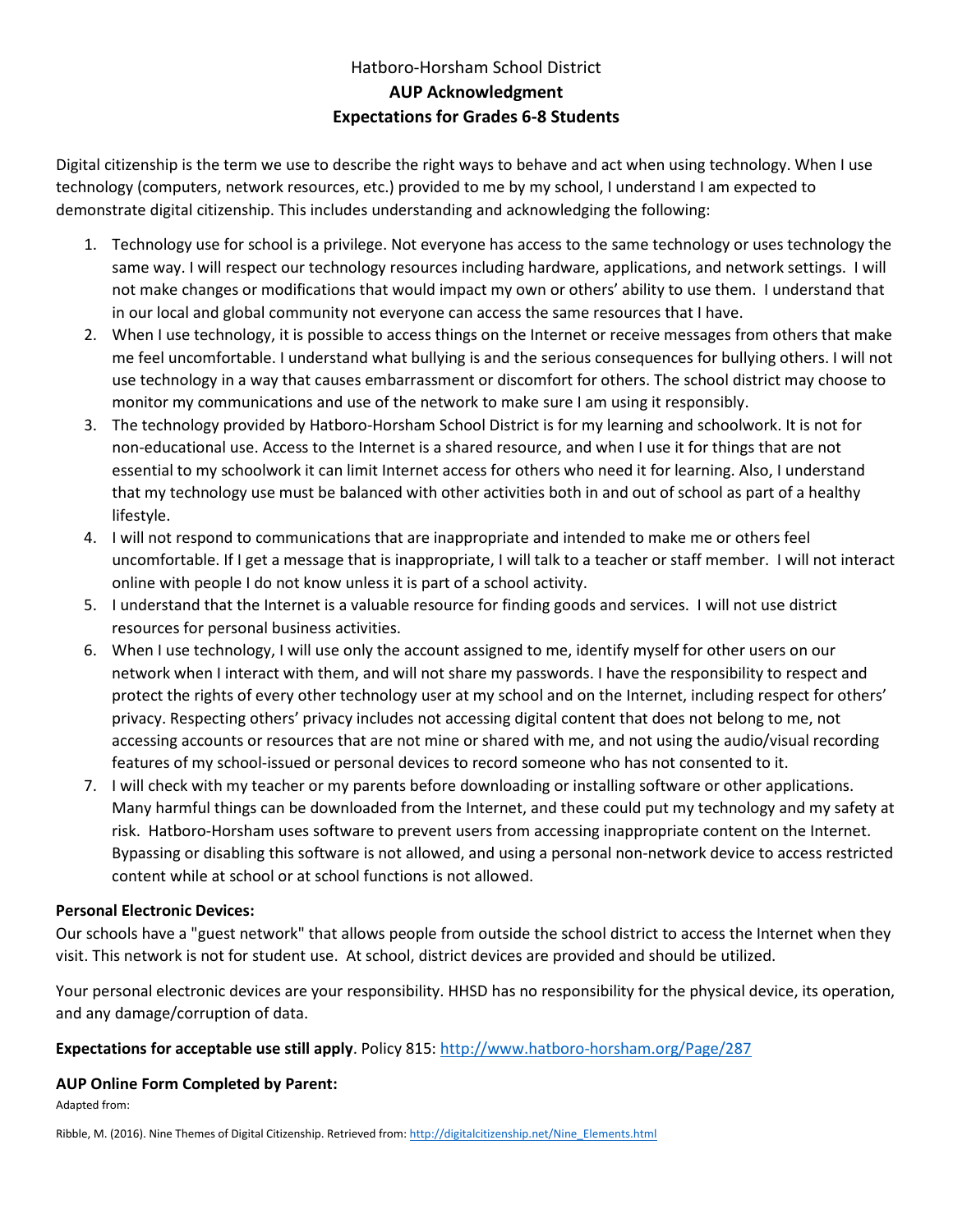# Hatboro-Horsham School District **AUP Acknowledgment Expectations for Grades 6-8 Students**

Digital citizenship is the term we use to describe the right ways to behave and act when using technology. When I use technology (computers, network resources, etc.) provided to me by my school, I understand I am expected to demonstrate digital citizenship. This includes understanding and acknowledging the following:

- 1. Technology use for school is a privilege. Not everyone has access to the same technology or uses technology the same way. I will respect our technology resources including hardware, applications, and network settings. I will not make changes or modifications that would impact my own or others' ability to use them. I understand that in our local and global community not everyone can access the same resources that I have.
- 2. When I use technology, it is possible to access things on the Internet or receive messages from others that make me feel uncomfortable. I understand what bullying is and the serious consequences for bullying others. I will not use technology in a way that causes embarrassment or discomfort for others. The school district may choose to monitor my communications and use of the network to make sure I am using it responsibly.
- 3. The technology provided by Hatboro-Horsham School District is for my learning and schoolwork. It is not for non-educational use. Access to the Internet is a shared resource, and when I use it for things that are not essential to my schoolwork it can limit Internet access for others who need it for learning. Also, I understand that my technology use must be balanced with other activities both in and out of school as part of a healthy lifestyle.
- 4. I will not respond to communications that are inappropriate and intended to make me or others feel uncomfortable. If I get a message that is inappropriate, I will talk to a teacher or staff member. I will not interact online with people I do not know unless it is part of a school activity.
- 5. I understand that the Internet is a valuable resource for finding goods and services. I will not use district resources for personal business activities.
- 6. When I use technology, I will use only the account assigned to me, identify myself for other users on our network when I interact with them, and will not share my passwords. I have the responsibility to respect and protect the rights of every other technology user at my school and on the Internet, including respect for others' privacy. Respecting others' privacy includes not accessing digital content that does not belong to me, not accessing accounts or resources that are not mine or shared with me, and not using the audio/visual recording features of my school-issued or personal devices to record someone who has not consented to it.
- 7. I will check with my teacher or my parents before downloading or installing software or other applications. Many harmful things can be downloaded from the Internet, and these could put my technology and my safety at risk. Hatboro-Horsham uses software to prevent users from accessing inappropriate content on the Internet. Bypassing or disabling this software is not allowed, and using a personal non-network device to access restricted content while at school or at school functions is not allowed.

# **Personal Electronic Devices:**

Our schools have a "guest network" that allows people from outside the school district to access the Internet when they visit. This network is not for student use. At school, district devices are provided and should be utilized.

Your personal electronic devices are your responsibility. HHSD has no responsibility for the physical device, its operation, and any damage/corruption of data.

# **Expectations for acceptable use still apply**. Policy 815:<http://www.hatboro-horsham.org/Page/287>

## **AUP Online Form Completed by Parent:**

Adapted from:

Ribble, M. (2016). Nine Themes of Digital Citizenship. Retrieved from[: http://digitalcitizenship.net/Nine\\_Elements.html](http://digitalcitizenship.net/Nine_Elements.html)